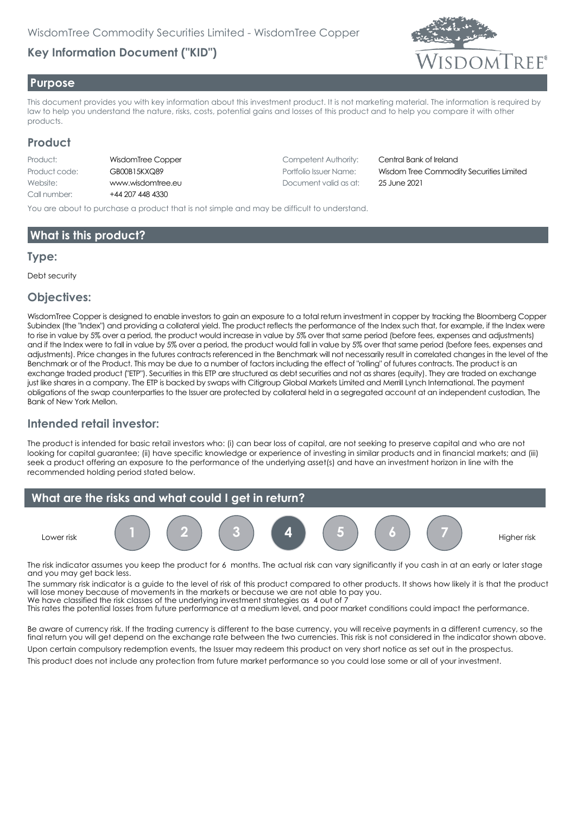# **Key Information Document ("KID")**



#### **Purpose**

This document provides you with key information about this investment product. It is not marketing material. The information is required by law to help you understand the nature, risks, costs, potential gains and losses of this product and to help you compare it with other products.

#### **Product**

| Product:      | W |
|---------------|---|
| Product code: | G |
| Website:      | w |
| Call number:  |   |

44 207 448 4330

Product IsdomTree Copper Competent Authority: Central Bank of Ireland Website: www.wisdomtree.eu Document valid as at: 25 June 2021

Product code: GB00B15KXQ89 Portfolio Issuer Name: Wisdom Tree Commodity Securities Limited

You are about to purchase a product that is not simple and may be difficult to understand.

## **What is this product?**

#### **Type:**

Debt security

#### **Objectives:**

WisdomTree Copper is designed to enable investors to gain an exposure to a total return investment in copper by tracking the Bloomberg Copper Subindex (the "Index") and providing a collateral yield. The product reflects the performance of the Index such that, for example, if the Index were to rise in value by 5% over a period, the product would increase in value by 5% over that same period (before fees, expenses and adjustments) and if the Index were to fall in value by 5% over a period, the product would fall in value by 5% over that same period (before fees, expenses and adjustments). Price changes in the futures contracts referenced in the Benchmark will not necessarily result in correlated changes in the level of the Benchmark or of the Product. This may be due to a number of factors including the effect of "rolling" of futures contracts. The product is an exchange traded product ("ETP"). Securities in this ETP are structured as debt securities and not as shares (equity). They are traded on exchange just like shares in a company. The ETP is backed by swaps with Citigroup Global Markets Limited and Merrill Lynch International. The payment obligations of the swap counterparties to the Issuer are protected by collateral held in a segregated account at an independent custodian, The Bank of New York Mellon.

## **Intended retail investor:**

The product is intended for basic retail investors who: (i) can bear loss of capital, are not seeking to preserve capital and who are not looking for capital guarantee; (ii) have specific knowledge or experience of investing in similar products and in financial markets; and (iii) seek a product offering an exposure to the performance of the underlying asset(s) and have an investment horizon in line with the recommended holding period stated below.



The risk indicator assumes you keep the product for 6 months. The actual risk can vary significantly if you cash in at an early or later stage and you may get back less.

The summary risk indicator is a guide to the level of risk of this product compared to other products. It shows how likely it is that the product will lose money because of movements in the markets or because we are not able to pay you. We have classified the risk classes of the underlying investment strategies as 4 out of 7

This rates the potential losses from future performance at a medium level, and poor market conditions could impact the performance.

Be aware of currency risk. If the trading currency is different to the base currency, you will receive payments in a different currency, so the final return you will get depend on the exchange rate between the two currencies. This risk is not considered in the indicator shown above. Upon certain compulsory redemption events, the Issuer may redeem this product on very short notice as set out in the prospectus.

This product does not include any protection from future market performance so you could lose some or all of your investment.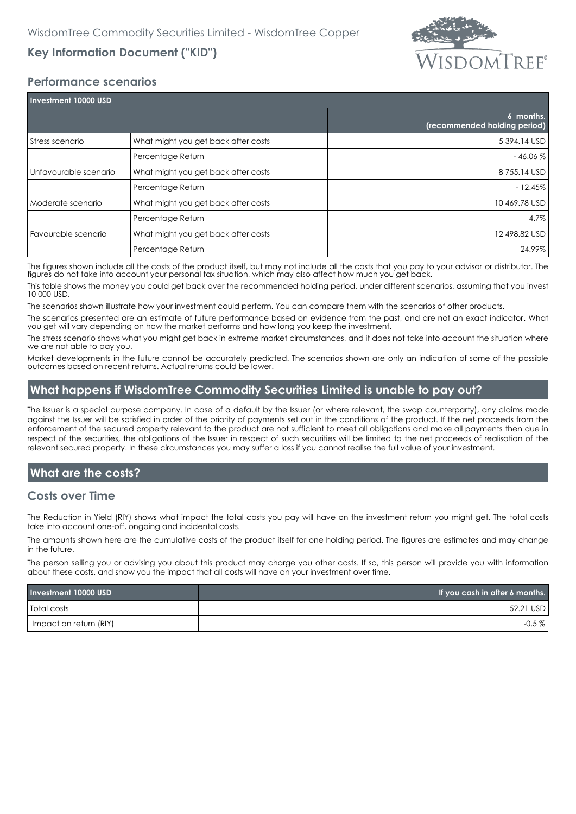

# **Key Information Document ("KID")**

#### **Performance scenarios**

| Investment 10000 USD    |                                     |                                           |
|-------------------------|-------------------------------------|-------------------------------------------|
|                         |                                     | 6 months.<br>(recommended holding period) |
| Stress scenario         | What might you get back after costs | 5 394.14 USD                              |
|                         | Percentage Return                   | $-46.06%$                                 |
| l Unfavourable scenario | What might you get back after costs | 8755.14 USD                               |
|                         | Percentage Return                   | $-12.45%$                                 |
| Moderate scenario       | What might you get back after costs | 10 469.78 USD                             |
|                         | Percentage Return                   | 4.7%                                      |
| Favourable scenario     | What might you get back after costs | 12 498.82 USD                             |
|                         | Percentage Return                   | 24.99%                                    |

The figures shown include all the costs of the product itself, but may not include all the costs that you pay to your advisor or distributor. The figures do not take into account your personal tax situation, which may also affect how much you get back.

This table shows the money you could get back over the recommended holding period, under different scenarios, assuming that you invest 10 000 USD.

The scenarios shown illustrate how your investment could perform. You can compare them with the scenarios of other products.

The scenarios presented are an estimate of future performance based on evidence from the past, and are not an exact indicator. What you get will vary depending on how the market performs and how long you keep the investment.

The stress scenario shows what you might get back in extreme market circumstances, and it does not take into account the situation where we are not able to pay you.

Market developments in the future cannot be accurately predicted. The scenarios shown are only an indication of some of the possible outcomes based on recent returns. Actual returns could be lower.

## **What happens if WisdomTree Commodity Securities Limited is unable to pay out?**

The Issuer is a special purpose company. In case of a default by the Issuer (or where relevant, the swap counterparty), any claims made against the Issuer will be satisfied in order of the priority of payments set out in the conditions of the product. If the net proceeds from the enforcement of the secured property relevant to the product are not sufficient to meet all obligations and make all payments then due in respect of the securities, the obligations of the Issuer in respect of such securities will be limited to the net proceeds of realisation of the relevant secured property. In these circumstances you may suffer a loss if you cannot realise the full value of your investment.

## **What are the costs?**

#### **Costs over Time**

The Reduction in Yield (RIY) shows what impact the total costs you pay will have on the investment return you might get. The total costs take into account one-off, ongoing and incidental costs.

The amounts shown here are the cumulative costs of the product itself for one holding period. The figures are estimates and may change in the future.

The person selling you or advising you about this product may charge you other costs. If so, this person will provide you with information about these costs, and show you the impact that all costs will have on your investment over time.

| Investment 10000 USD   | If you cash in after 6 months. |
|------------------------|--------------------------------|
| Total costs            | 52.21 USD                      |
| Impact on return (RIY) | $-0.5\%$                       |